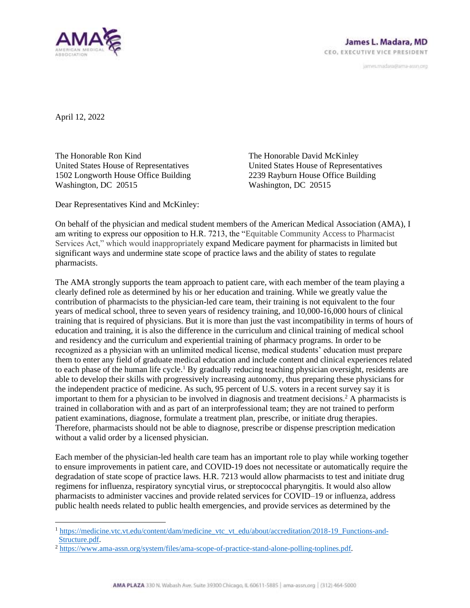

janves.madara@ama-assn.org

April 12, 2022

The Honorable Ron Kind United States House of Representatives 1502 Longworth House Office Building Washington, DC 20515

The Honorable David McKinley United States House of Representatives 2239 Rayburn House Office Building Washington, DC 20515

Dear Representatives Kind and McKinley:

On behalf of the physician and medical student members of the American Medical Association (AMA), I am writing to express our opposition to H.R. 7213, the "Equitable Community Access to Pharmacist Services Act," which would inappropriately expand Medicare payment for pharmacists in limited but significant ways and undermine state scope of practice laws and the ability of states to regulate pharmacists.

The AMA strongly supports the team approach to patient care, with each member of the team playing a clearly defined role as determined by his or her education and training. While we greatly value the contribution of pharmacists to the physician-led care team, their training is not equivalent to the four years of medical school, three to seven years of residency training, and 10,000-16,000 hours of clinical training that is required of physicians. But it is more than just the vast incompatibility in terms of hours of education and training, it is also the difference in the curriculum and clinical training of medical school and residency and the curriculum and experiential training of pharmacy programs. In order to be recognized as a physician with an unlimited medical license, medical students' education must prepare them to enter any field of graduate medical education and include content and clinical experiences related to each phase of the human life cycle.<sup>1</sup> By gradually reducing teaching physician oversight, residents are able to develop their skills with progressively increasing autonomy, thus preparing these physicians for the independent practice of medicine. As such, 95 percent of U.S. voters in a recent survey say it is important to them for a physician to be involved in diagnosis and treatment decisions.<sup>2</sup> A pharmacists is trained in collaboration with and as part of an interprofessional team; they are not trained to perform patient examinations, diagnose, formulate a treatment plan, prescribe, or initiate drug therapies. Therefore, pharmacists should not be able to diagnose, prescribe or dispense prescription medication without a valid order by a licensed physician.

Each member of the physician-led health care team has an important role to play while working together to ensure improvements in patient care, and COVID-19 does not necessitate or automatically require the degradation of state scope of practice laws. H.R. 7213 would allow pharmacists to test and initiate drug regimens for influenza, respiratory syncytial virus, or streptococcal pharyngitis. It would also allow pharmacists to administer vaccines and provide related services for COVID–19 or influenza, address public health needs related to public health emergencies, and provide services as determined by the

<sup>1</sup> [https://medicine.vtc.vt.edu/content/dam/medicine\\_vtc\\_vt\\_edu/about/accreditation/2018-19\\_Functions-and-](https://medicine.vtc.vt.edu/content/dam/medicine_vtc_vt_edu/about/accreditation/2018-19_Functions-and-Structure.pdf)[Structure.pdf.](https://medicine.vtc.vt.edu/content/dam/medicine_vtc_vt_edu/about/accreditation/2018-19_Functions-and-Structure.pdf)

<sup>2</sup> [https://www.ama-assn.org/system/files/ama-scope-of-practice-stand-alone-polling-toplines.pdf.](https://www.ama-assn.org/system/files/ama-scope-of-practice-stand-alone-polling-toplines.pdf)